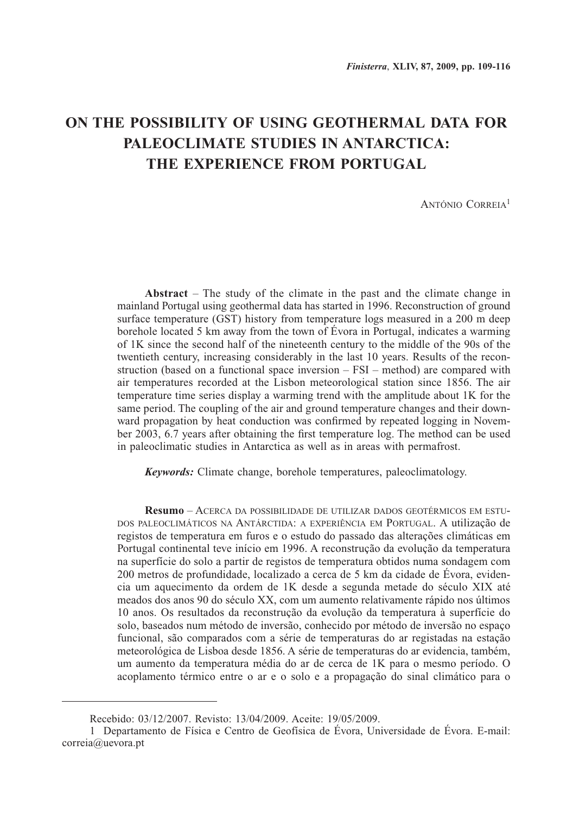# **ON THE POSSIBILITY OF USING GEOTHERMAL DATA FOR PALEOCLIMATE STUDIES IN ANTARCTICA: THE EXPERIENCE FROM PORTUGAL**

António Correia1

**Abstract** – The study of the climate in the past and the climate change in mainland Portugal using geothermal data has started in 1996. Reconstruction of ground surface temperature (GST) history from temperature logs measured in a 200 m deep borehole located 5 km away from the town of Évora in Portugal, indicates a warming of 1K since the second half of the nineteenth century to the middle of the 90s of the twentieth century, increasing considerably in the last 10 years. Results of the reconstruction (based on a functional space inversion – FSI – method) are compared with air temperatures recorded at the Lisbon meteorological station since 1856. The air temperature time series display a warming trend with the amplitude about 1K for the same period. The coupling of the air and ground temperature changes and their downward propagation by heat conduction was confirmed by repeated logging in November 2003, 6.7 years after obtaining the first temperature log. The method can be used in paleoclimatic studies in Antarctica as well as in areas with permafrost.

*Keywords:* Climate change, borehole temperatures, paleoclimatology.

**Resumo** – Acerca da possibilidade de utilizar dados geotérmicos em estudos paleoclimáticos na Antárctida: a experiência em Portugal. A utilização de registos de temperatura em furos e o estudo do passado das alterações climáticas em Portugal continental teve início em 1996. A reconstrução da evolução da temperatura na superfície do solo a partir de registos de temperatura obtidos numa sondagem com 200 metros de profundidade, localizado a cerca de 5 km da cidade de Évora, evidencia um aquecimento da ordem de 1K desde a segunda metade do século XIX até meados dos anos 90 do século XX, com um aumento relativamente rápido nos últimos 10 anos. Os resultados da reconstrução da evolução da temperatura à superfície do solo, baseados num método de inversão, conhecido por método de inversão no espaço funcional, são comparados com a série de temperaturas do ar registadas na estação meteorológica de Lisboa desde 1856. A série de temperaturas do ar evidencia, também, um aumento da temperatura média do ar de cerca de 1K para o mesmo período. O acoplamento térmico entre o ar e o solo e a propagação do sinal climático para o

Recebido: 03/12/2007. Revisto: 13/04/2009. Aceite: 19/05/2009.

<sup>1</sup> Departamento de Física e Centro de Geofísica de Évora, Universidade de Évora. E-mail: correia@uevora.pt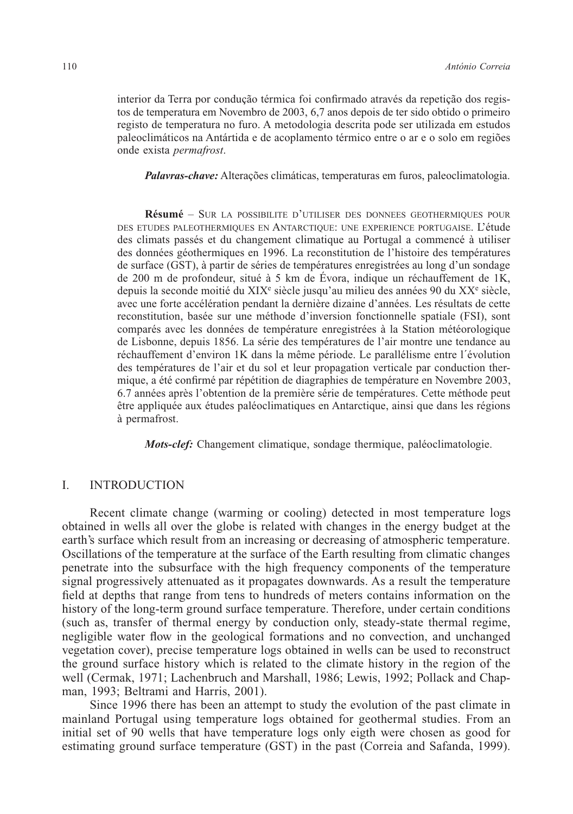interior da Terra por condução térmica foi confirmado através da repetição dos registos de temperatura em Novembro de 2003, 6,7 anos depois de ter sido obtido o primeiro registo de temperatura no furo. A metodologia descrita pode ser utilizada em estudos paleoclimáticos na Antártida e de acoplamento térmico entre o ar e o solo em regiões onde exista *permafrost*.

*Palavras-chave:* Alterações climáticas, temperaturas em furos, paleoclimatologia.

**Résumé** – Sur la possibilite d'utiliser des donnees geothermiques pour des etudes paleothermiques en Antarctique: une experience portugaise. L'étude des climats passés et du changement climatique au Portugal a commencé à utiliser des données géothermiques en 1996. La reconstitution de l'histoire des températures de surface (GST), à partir de séries de températures enregistrées au long d'un sondage de 200 m de profondeur, situé à 5 km de Évora, indique un réchauffement de 1K, depuis la seconde moitié du XIX<sup>e</sup> siècle jusqu'au milieu des années 90 du XX<sup>e</sup> siècle, avec une forte accélération pendant la dernière dizaine d'années. Les résultats de cette reconstitution, basée sur une méthode d'inversion fonctionnelle spatiale (FSI), sont comparés avec les données de température enregistrées à la Station météorologique de Lisbonne, depuis 1856. La série des températures de l'air montre une tendance au réchauffement d'environ 1K dans la même période. Le parallélisme entre l´évolution des températures de l'air et du sol et leur propagation verticale par conduction thermique, a été confirmé par répétition de diagraphies de température en Novembre 2003, 6.7 années après l'obtention de la première série de températures. Cette méthode peut être appliquée aux études paléoclimatiques en Antarctique, ainsi que dans les régions à permafrost.

*Mots-clef:* Changement climatique, sondage thermique, paléoclimatologie.

## I. INTRODUCTION

Recent climate change (warming or cooling) detected in most temperature logs obtained in wells all over the globe is related with changes in the energy budget at the earth's surface which result from an increasing or decreasing of atmospheric temperature. Oscillations of the temperature at the surface of the Earth resulting from climatic changes penetrate into the subsurface with the high frequency components of the temperature signal progressively attenuated as it propagates downwards. As a result the temperature field at depths that range from tens to hundreds of meters contains information on the history of the long-term ground surface temperature. Therefore, under certain conditions (such as, transfer of thermal energy by conduction only, steady-state thermal regime, negligible water flow in the geological formations and no convection, and unchanged vegetation cover), precise temperature logs obtained in wells can be used to reconstruct the ground surface history which is related to the climate history in the region of the well (Cermak, 1971; Lachenbruch and Marshall, 1986; Lewis, 1992; Pollack and Chapman, 1993; Beltrami and Harris, 2001).

Since 1996 there has been an attempt to study the evolution of the past climate in mainland Portugal using temperature logs obtained for geothermal studies. From an initial set of 90 wells that have temperature logs only eigth were chosen as good for estimating ground surface temperature (GST) in the past (Correia and Safanda, 1999).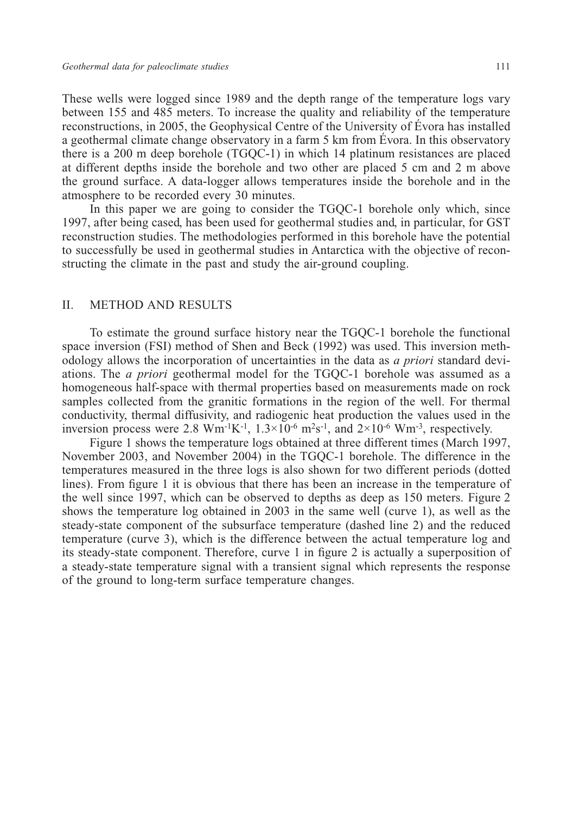These wells were logged since 1989 and the depth range of the temperature logs vary between 155 and 485 meters. To increase the quality and reliability of the temperature reconstructions, in 2005, the Geophysical Centre of the University of Évora has installed a geothermal climate change observatory in a farm 5 km from Évora. In this observatory there is a 200 m deep borehole (TGQC-1) in which 14 platinum resistances are placed at different depths inside the borehole and two other are placed 5 cm and 2 m above the ground surface. A data-logger allows temperatures inside the borehole and in the atmosphere to be recorded every 30 minutes.

In this paper we are going to consider the TGQC-1 borehole only which, since 1997, after being cased, has been used for geothermal studies and, in particular, for GST reconstruction studies. The methodologies performed in this borehole have the potential to successfully be used in geothermal studies in Antarctica with the objective of reconstructing the climate in the past and study the air-ground coupling.

## II. METHOD AND RESULTS

To estimate the ground surface history near the TGQC-1 borehole the functional space inversion (FSI) method of Shen and Beck (1992) was used. This inversion methodology allows the incorporation of uncertainties in the data as *a priori* standard deviations. The *a priori* geothermal model for the TGQC-1 borehole was assumed as a homogeneous half-space with thermal properties based on measurements made on rock samples collected from the granitic formations in the region of the well. For thermal conductivity, thermal diffusivity, and radiogenic heat production the values used in the inversion process were 2.8 Wm<sup>-1</sup>K<sup>-1</sup>,  $1.3\times10^{-6}$  m<sup>2</sup>s<sup>-1</sup>, and  $2\times10^{-6}$  Wm<sup>-3</sup>, respectively.

Figure 1 shows the temperature logs obtained at three different times (March 1997, November 2003, and November 2004) in the TGQC-1 borehole. The difference in the temperatures measured in the three logs is also shown for two different periods (dotted lines). From figure 1 it is obvious that there has been an increase in the temperature of the well since 1997, which can be observed to depths as deep as 150 meters. Figure 2 shows the temperature log obtained in 2003 in the same well (curve 1), as well as the steady-state component of the subsurface temperature (dashed line 2) and the reduced temperature (curve 3), which is the difference between the actual temperature log and its steady-state component. Therefore, curve 1 in figure 2 is actually a superposition of a steady-state temperature signal with a transient signal which represents the response of the ground to long-term surface temperature changes.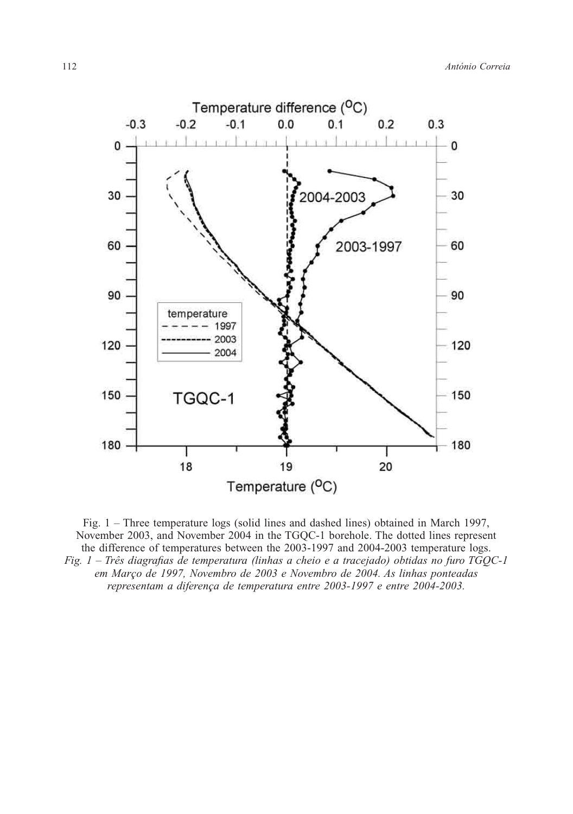

Fig. 1 – Three temperature logs (solid lines and dashed lines) obtained in March 1997, November 2003, and November 2004 in the TGQC-1 borehole. The dotted lines represent the difference of temperatures between the 2003-1997 and 2004-2003 temperature logs. *Fig. 1 – Três diagrafias de temperatura (linhas a cheio e a tracejado) obtidas no furo TGQC-1 em Março de 1997, Novembro de 2003 e Novembro de 2004. As linhas ponteadas representam a diferença de temperatura entre 2003-1997 e entre 2004-2003.*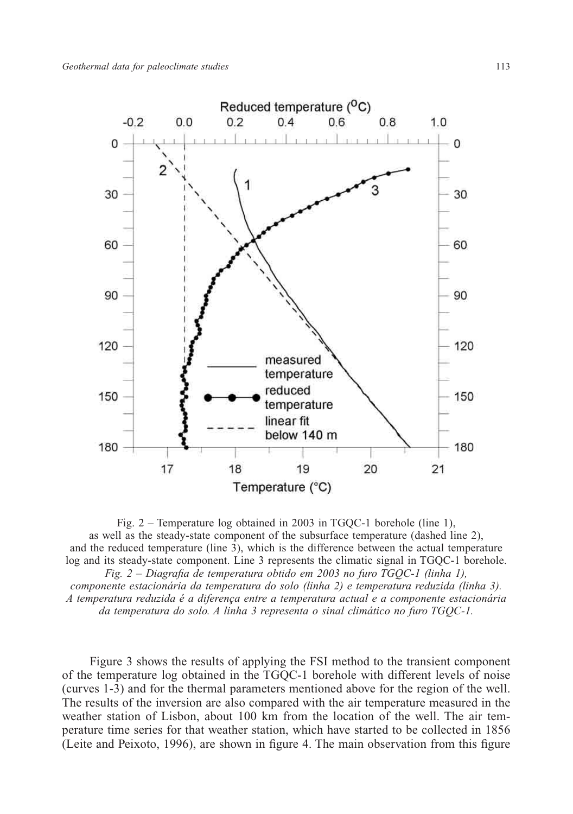

Fig. 2 – Temperature log obtained in 2003 in TGQC-1 borehole (line 1), as well as the steady-state component of the subsurface temperature (dashed line 2), and the reduced temperature (line 3), which is the difference between the actual temperature log and its steady-state component. Line 3 represents the climatic signal in TGQC-1 borehole. *Fig. 2 – Diagrafia de temperatura obtido em 2003 no furo TGQC-1 (linha 1),* 

*componente estacionária da temperatura do solo (linha 2) e temperatura reduzida (linha 3). A temperatura reduzida é a diferença entre a temperatura actual e a componente estacionária da temperatura do solo. A linha 3 representa o sinal climático no furo TGQC-1.*

Figure 3 shows the results of applying the FSI method to the transient component of the temperature log obtained in the TGQC-1 borehole with different levels of noise (curves 1-3) and for the thermal parameters mentioned above for the region of the well. The results of the inversion are also compared with the air temperature measured in the weather station of Lisbon, about 100 km from the location of the well. The air temperature time series for that weather station, which have started to be collected in 1856 (Leite and Peixoto, 1996), are shown in figure 4. The main observation from this figure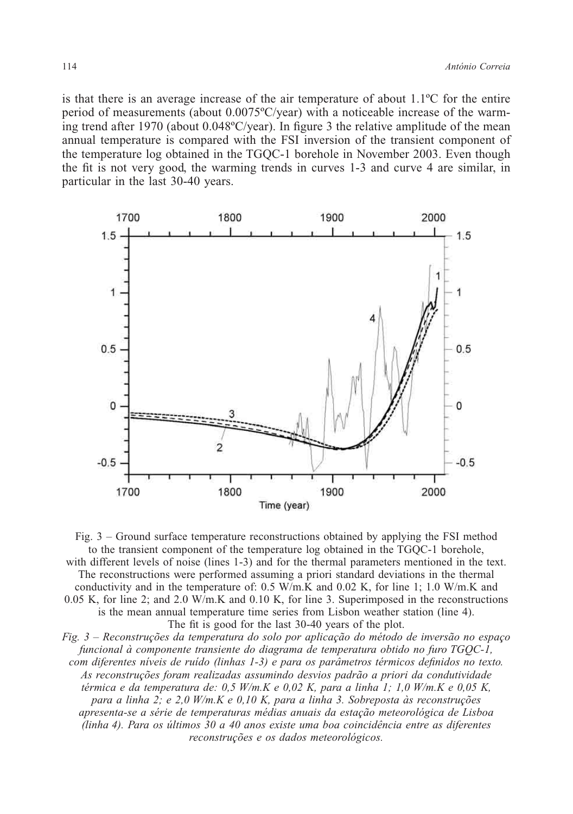is that there is an average increase of the air temperature of about  $1.1\degree$ C for the entire period of measurements (about 0.0075ºC/year) with a noticeable increase of the warming trend after 1970 (about 0.048ºC/year). In figure 3 the relative amplitude of the mean annual temperature is compared with the FSI inversion of the transient component of the temperature log obtained in the TGQC-1 borehole in November 2003. Even though the fit is not very good, the warming trends in curves 1-3 and curve 4 are similar, in particular in the last 30-40 years.



Fig. 3 – Ground surface temperature reconstructions obtained by applying the FSI method to the transient component of the temperature log obtained in the TGQC-1 borehole, with different levels of noise (lines 1-3) and for the thermal parameters mentioned in the text. The reconstructions were performed assuming a priori standard deviations in the thermal conductivity and in the temperature of:  $0.5 \text{ W/m}$ .K and  $0.02 \text{ K}$ , for line 1; 1.0 W/m.K and 0.05 K, for line 2; and 2.0 W/m.K and 0.10 K, for line 3. Superimposed in the reconstructions is the mean annual temperature time series from Lisbon weather station (line 4). The fit is good for the last 30-40 years of the plot.

*Fig. 3 – Reconstruções da temperatura do solo por aplicação do método de inversão no espaço funcional à componente transiente do diagrama de temperatura obtido no furo TGQC-1, com diferentes níveis de ruído (linhas 1-3) e para os parâmetros térmicos definidos no texto. As reconstruções foram realizadas assumindo desvios padrão a priori da condutividade térmica e da temperatura de: 0,5 W/m.K e 0,02 K, para a linha 1; 1,0 W/m.K e 0,05 K, para a linha 2; e 2,0 W/m.K e 0,10 K, para a linha 3. Sobreposta às reconstruções apresenta-se a série de temperaturas médias anuais da estação meteorológica de Lisboa (linha 4). Para os últimos 30 a 40 anos existe uma boa coincidência entre as diferentes reconstruções e os dados meteorológicos.*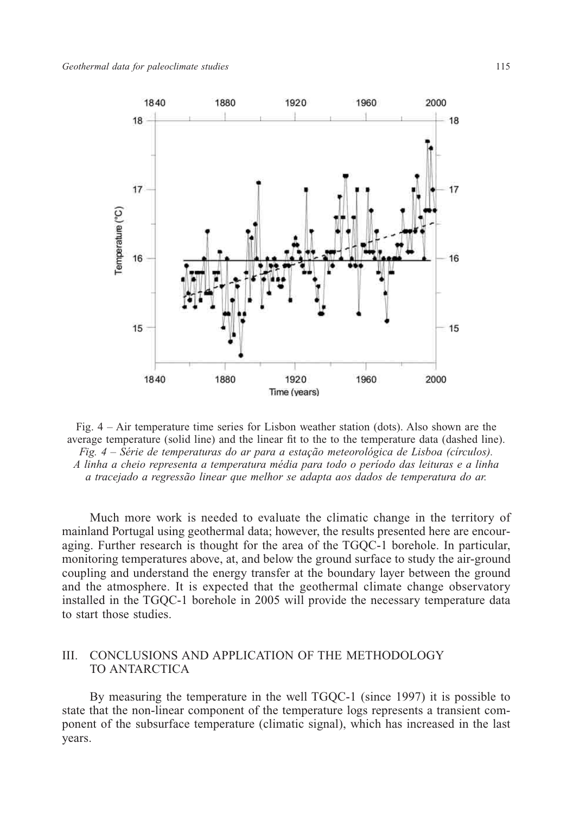

Fig. 4 – Air temperature time series for Lisbon weather station (dots). Also shown are the average temperature (solid line) and the linear fit to the to the temperature data (dashed line). *Fig. 4 – Série de temperaturas do ar para a estação meteorológica de Lisboa (círculos). A linha a cheio representa a temperatura média para todo o período das leituras e a linha a tracejado a regressão linear que melhor se adapta aos dados de temperatura do ar.*

Much more work is needed to evaluate the climatic change in the territory of mainland Portugal using geothermal data; however, the results presented here are encouraging. Further research is thought for the area of the TGQC-1 borehole. In particular, monitoring temperatures above, at, and below the ground surface to study the air-ground coupling and understand the energy transfer at the boundary layer between the ground and the atmosphere. It is expected that the geothermal climate change observatory installed in the TGQC-1 borehole in 2005 will provide the necessary temperature data to start those studies.

## III. CONCLUSIONS AND APPLICATION OF THE METHODOLOGY TO ANTARCTICA

By measuring the temperature in the well TGQC-1 (since 1997) it is possible to state that the non-linear component of the temperature logs represents a transient component of the subsurface temperature (climatic signal), which has increased in the last years.